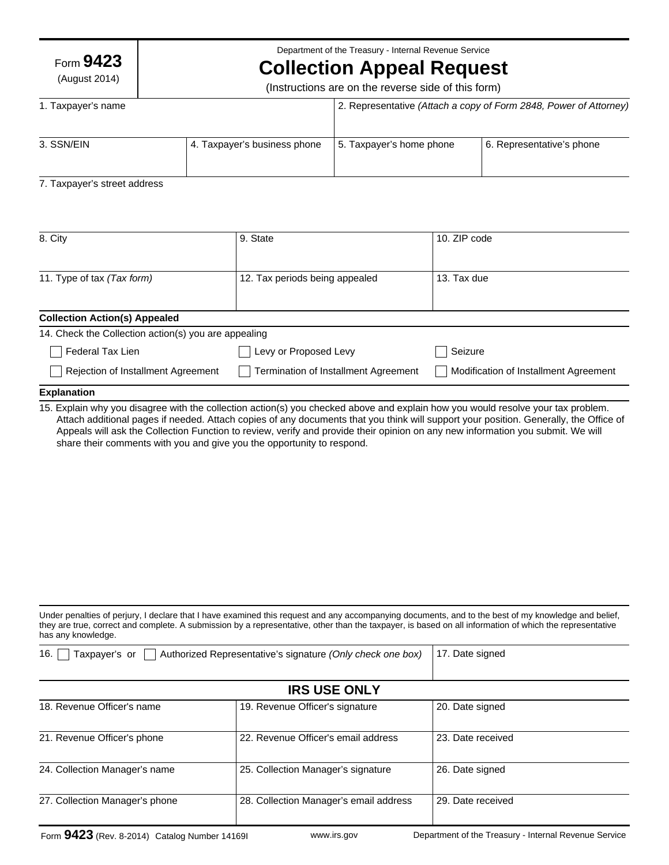Form **9423**

(August 2014)

Department of the Treasury - Internal Revenue Service

# **Collection Appeal Request**

(Instructions are on the reverse side of this form)

| 1. Taxpayer's name |                              | 2. Representative (Attach a copy of Form 2848, Power of Attorney) |                           |
|--------------------|------------------------------|-------------------------------------------------------------------|---------------------------|
| 3. SSN/EIN         | 4. Taxpayer's business phone | 5. Taxpayer's home phone                                          | 6. Representative's phone |

# 7. Taxpayer's street address

| 8. City                                              | 9. State                             | 10. ZIP code                          |
|------------------------------------------------------|--------------------------------------|---------------------------------------|
|                                                      |                                      |                                       |
| 11. Type of tax (Tax form)                           | 12. Tax periods being appealed       | 13. Tax due                           |
|                                                      |                                      |                                       |
| <b>Collection Action(s) Appealed</b>                 |                                      |                                       |
| 14. Check the Collection action(s) you are appealing |                                      |                                       |
| Federal Tax Lien                                     | Levy or Proposed Levy                | Seizure                               |
| Rejection of Installment Agreement                   | Termination of Installment Agreement | Modification of Installment Agreement |
| <b>Explanation</b>                                   |                                      |                                       |

15. Explain why you disagree with the collection action(s) you checked above and explain how you would resolve your tax problem. Attach additional pages if needed. Attach copies of any documents that you think will support your position. Generally, the Office of Appeals will ask the Collection Function to review, verify and provide their opinion on any new information you submit. We will share their comments with you and give you the opportunity to respond.

| Under penalties of perjury, I declare that I have examined this request and any accompanying documents, and to the best of my knowledge and belief,     |
|---------------------------------------------------------------------------------------------------------------------------------------------------------|
| they are true, correct and complete. A submission by a representative, other than the taxpayer, is based on all information of which the representative |
| has any knowledge.                                                                                                                                      |

| Taxpayer's or<br>16.<br>Authorized Representative's signature (Only check one box) |                                        | 17. Date signed   |  |  |
|------------------------------------------------------------------------------------|----------------------------------------|-------------------|--|--|
| <b>IRS USE ONLY</b>                                                                |                                        |                   |  |  |
| 18. Revenue Officer's name                                                         | 19. Revenue Officer's signature        | 20. Date signed   |  |  |
| 21. Revenue Officer's phone                                                        | 22. Revenue Officer's email address    | 23. Date received |  |  |
| 24. Collection Manager's name                                                      | 25. Collection Manager's signature     | 26. Date signed   |  |  |
| 27. Collection Manager's phone                                                     | 28. Collection Manager's email address | 29. Date received |  |  |